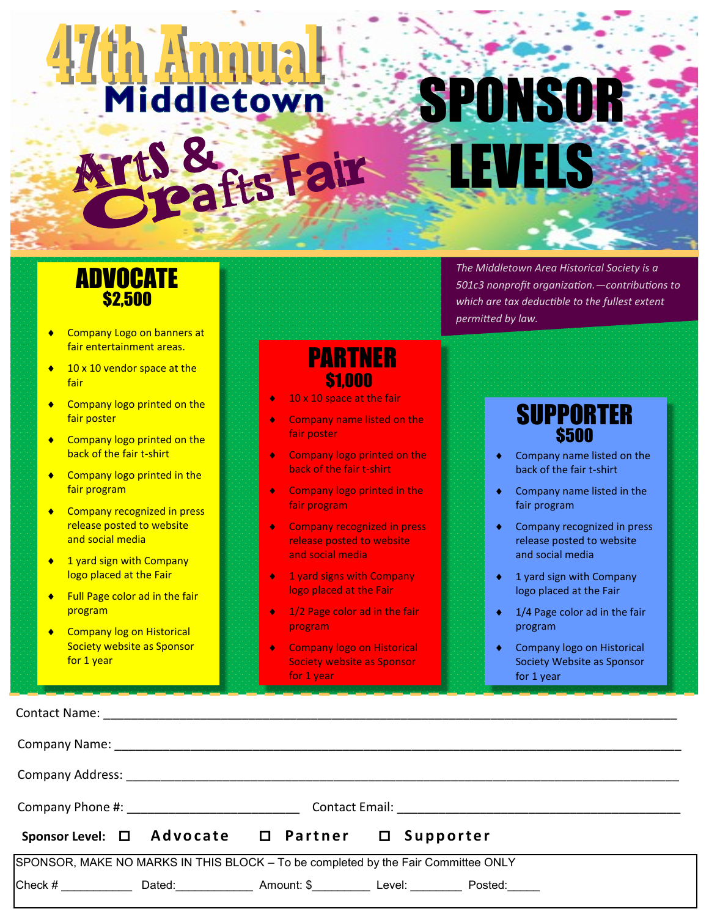# **Hammal** SPONSOR rt 8 LEVELS **Afts Fair**

## ADVOCATE \$2,500

- Company Logo on banners at fair entertainment areas.
- ◆ 10 x 10 vendor space at the fair
- ◆ Company logo printed on the fair poster
- **Company logo printed on the** back of the fair t-shirt
- **Company logo printed in the** fair program
- **Company recognized in press** release posted to website and social media
- ◆ 1 yard sign with Company logo placed at the Fair
- ◆ Full Page color ad in the fair program
- ◆ Company log on Historical Society website as Sponsor for 1 year

Contact Name:

# PARTNER \$1,000

- 10 x 10 space at the fair
- Company name listed on the fair poster
- Company logo printed on the back of the fair t-shirt
- Company logo printed in the fair program
- Company recognized in press release posted to website and social media
- 1 yard signs with Company logo placed at the Fair
- 1/2 Page color ad in the fair program
- Company logo on Historical Society website as Sponsor for 1 year

*The Middletown Area Historical Society is a 501c3 nonprofit organization.—contributions to which are tax deductible to the fullest extent permitted by law.* 

#### SUPPORTER **\$500**

- ◆ Company name listed on the back of the fair t-shirt
- Company name listed in the fair program
- **Company recognized in press** release posted to website and social media
- 1 yard sign with Company logo placed at the Fair
- ◆ 1/4 Page color ad in the fair program
- Company logo on Historical Society Website as Sponsor for 1 year

| Company Name: The Company Name: The Company Name: The Company Name: The Company Name: The Company of the Company Solution of the Company of the Company of the Company of the Company of the Company of the Company of the Com |  |  |                                                                                                        |  |  |  |  |
|--------------------------------------------------------------------------------------------------------------------------------------------------------------------------------------------------------------------------------|--|--|--------------------------------------------------------------------------------------------------------|--|--|--|--|
|                                                                                                                                                                                                                                |  |  |                                                                                                        |  |  |  |  |
| Company Phone #: _____________________________                                                                                                                                                                                 |  |  |                                                                                                        |  |  |  |  |
|                                                                                                                                                                                                                                |  |  | Sponsor Level: □ Advocate □ Partner □ Supporter                                                        |  |  |  |  |
| SPONSOR, MAKE NO MARKS IN THIS BLOCK - To be completed by the Fair Committee ONLY                                                                                                                                              |  |  |                                                                                                        |  |  |  |  |
|                                                                                                                                                                                                                                |  |  | Check # _______________Dated:_________________Amount: \$____________Level: _____________ Posted:______ |  |  |  |  |